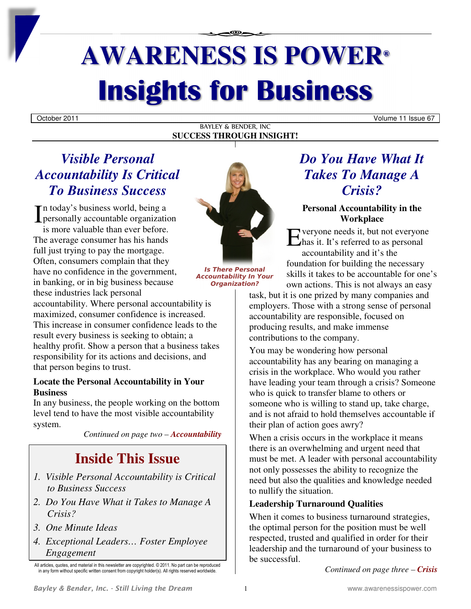# **AWARENESS IS POWER® Insights for Business**

October 2011 Volume 11 Issue 67

BAYLEY & BENDER, INC **SUCCESS THROUGH INSIGHT!**

## *Visible Personal Accountability Is Critical To Business Success*

In today's business world, being a<br>personally accountable organization **personally accountable organization** is more valuable than ever before. The average consumer has his hands full just trying to pay the mortgage. Often, consumers complain that they have no confidence in the government, in banking, or in big business because these industries lack personal

accountability. Where personal accountability is maximized, consumer confidence is increased. This increase in consumer confidence leads to the result every business is seeking to obtain; a healthy profit. Show a person that a business takes responsibility for its actions and decisions, and that person begins to trust.

#### **Locate the Personal Accountability in Your Business**

In any business, the people working on the bottom level tend to have the most visible accountability system.

*Continued on page two – Accountability*

## **Inside This Issue**

- *1. Visible Personal Accountability is Critical to Business Success*
- *2. Do You Have What it Takes to Manage A Crisis?*
- *3. One Minute Ideas*
- *4. Exceptional Leaders… Foster Employee Engagement*



*Is There Personal Accountability In Your Organization?* 

## *Do You Have What It Takes To Manage A Crisis?*

#### **Personal Accountability in the Workplace**

veryone needs it, but not everyone has it. It's referred to as personal accountability and it's the foundation for building the necessary skills it takes to be accountable for one's own actions. This is not always an easy E

task, but it is one prized by many companies and employers. Those with a strong sense of personal accountability are responsible, focused on producing results, and make immense contributions to the company.

You may be wondering how personal accountability has any bearing on managing a crisis in the workplace. Who would you rather have leading your team through a crisis? Someone who is quick to transfer blame to others or someone who is willing to stand up, take charge, and is not afraid to hold themselves accountable if their plan of action goes awry?

When a crisis occurs in the workplace it means there is an overwhelming and urgent need that must be met. A leader with personal accountability not only possesses the ability to recognize the need but also the qualities and knowledge needed to nullify the situation.

#### **Leadership Turnaround Qualities**

When it comes to business turnaround strategies, the optimal person for the position must be well respected, trusted and qualified in order for their leadership and the turnaround of your business to be successful.

*Continued on page three – Crisis*

All articles, quotes, and material in this newsletter are copyrighted. © 2011. No part can be reproduced in any form without specific written consent from copyright holder(s). All rights reserved worldwide.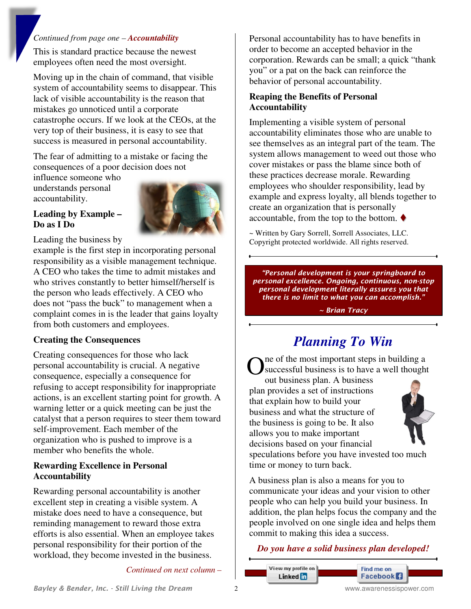#### *Continued from page one – Accountability*

This is standard practice because the newest employees often need the most oversight.

Moving up in the chain of command, that visible system of accountability seems to disappear. This lack of visible accountability is the reason that mistakes go unnoticed until a corporate catastrophe occurs. If we look at the CEOs, at the very top of their business, it is easy to see that success is measured in personal accountability.

The fear of admitting to a mistake or facing the consequences of a poor decision does not

influence someone who understands personal accountability.



#### **Leading by Example – Do as I Do**

Leading the business by

example is the first step in incorporating personal responsibility as a visible management technique. A CEO who takes the time to admit mistakes and who strives constantly to better himself/herself is the person who leads effectively. A CEO who does not "pass the buck" to management when a complaint comes in is the leader that gains loyalty from both customers and employees.

#### **Creating the Consequences**

Creating consequences for those who lack personal accountability is crucial. A negative consequence, especially a consequence for refusing to accept responsibility for inappropriate actions, is an excellent starting point for growth. A warning letter or a quick meeting can be just the catalyst that a person requires to steer them toward self-improvement. Each member of the organization who is pushed to improve is a member who benefits the whole.

#### **Rewarding Excellence in Personal Accountability**

Rewarding personal accountability is another excellent step in creating a visible system. A mistake does need to have a consequence, but reminding management to reward those extra efforts is also essential. When an employee takes personal responsibility for their portion of the workload, they become invested in the business.

*Continued on next column –* 

Personal accountability has to have benefits in order to become an accepted behavior in the corporation. Rewards can be small; a quick "thank you" or a pat on the back can reinforce the behavior of personal accountability.

#### **Reaping the Benefits of Personal Accountability**

Implementing a visible system of personal accountability eliminates those who are unable to see themselves as an integral part of the team. The system allows management to weed out those who cover mistakes or pass the blame since both of these practices decrease morale. Rewarding employees who shoulder responsibility, lead by example and express loyalty, all blends together to create an organization that is personally accountable, from the top to the bottom.  $\blacklozenge$ 

~ Written by Gary Sorrell, Sorrell Associates, LLC. Copyright protected worldwide. All rights reserved.

*"Personal development is your springboard to personal excellence. Ongoing, continuous, non-stop personal development literally assures you that there is no limit to what you can accomplish."* 

*~ Brian Tracy* 

## *Planning To Win*

ne of the most important steps in building a successful business is to have a well thought O

out business plan. A business plan provides a set of instructions that explain how to build your business and what the structure of the business is going to be. It also allows you to make important decisions based on your financial



speculations before you have invested too much time or money to turn back.

A business plan is also a means for you to communicate your ideas and your vision to other people who can help you build your business. In addition, the plan helps focus the company and the people involved on one single idea and helps them commit to making this idea a success.

*Do you have a solid business plan developed!* 

View my profile on

Linked **in** 

Find me on

**Facebook**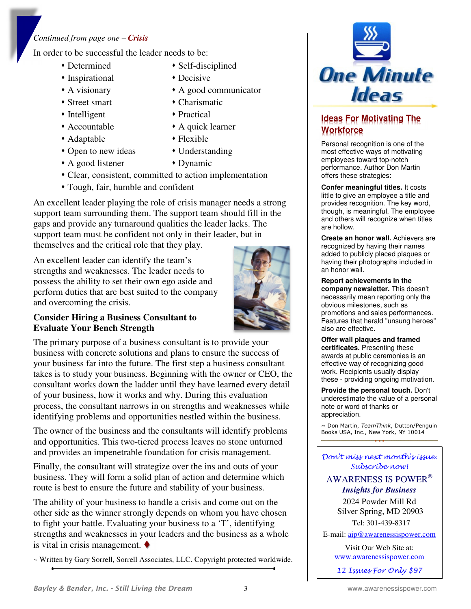#### *Continued from page one – Crisis*

In order to be successful the leader needs to be:

- Determined -
- $\bullet$  Inspirational  $\bullet$
- A visionary •
- Street smart •
- Intelligent •
- Accountable •
- Adaptable -
- Open to new ideas  $\bullet$
- Self-disciplined
- Decisive
- A good communicator
- Charismatic
- Practical
- A quick learner
- Flexible
- Understanding
- A good listener Dynamic
- Clear, consistent, committed to action implementation
- Tough, fair, humble and confident

An excellent leader playing the role of crisis manager needs a strong support team surrounding them. The support team should fill in the gaps and provide any turnaround qualities the leader lacks. The support team must be confident not only in their leader, but in themselves and the critical role that they play.

An excellent leader can identify the team's strengths and weaknesses. The leader needs to possess the ability to set their own ego aside and perform duties that are best suited to the company and overcoming the crisis.



#### **Consider Hiring a Business Consultant to Evaluate Your Bench Strength**

The primary purpose of a business consultant is to provide your business with concrete solutions and plans to ensure the success of your business far into the future. The first step a business consultant takes is to study your business. Beginning with the owner or CEO, the consultant works down the ladder until they have learned every detail of your business, how it works and why. During this evaluation process, the consultant narrows in on strengths and weaknesses while identifying problems and opportunities nestled within the business.

The owner of the business and the consultants will identify problems and opportunities. This two-tiered process leaves no stone unturned and provides an impenetrable foundation for crisis management.

Finally, the consultant will strategize over the ins and outs of your business. They will form a solid plan of action and determine which route is best to ensure the future and stability of your business.

The ability of your business to handle a crisis and come out on the other side as the winner strongly depends on whom you have chosen to fight your battle. Evaluating your business to a 'T', identifying strengths and weaknesses in your leaders and the business as a whole is vital in crisis management.  $\blacklozenge$ 

~ Written by Gary Sorrell, Sorrell Associates, LLC. Copyright protected worldwide.



#### **Ideas For Motivating The Workforce**

Personal recognition is one of the most effective ways of motivating employees toward top-notch performance. Author Don Martin offers these strategies:

**Confer meaningful titles.** It costs little to give an employee a title and provides recognition. The key word, though, is meaningful. The employee and others will recognize when titles are hollow.

**Create an honor wall.** Achievers are recognized by having their names added to publicly placed plaques or having their photographs included in an honor wall.

**Report achievements in the company newsletter.** This doesn't necessarily mean reporting only the obvious milestones, such as promotions and sales performances. Features that herald "unsung heroes" also are effective.

**Offer wall plaques and framed certificates.** Presenting these awards at public ceremonies is an effective way of recognizing good work. Recipients usually display these - providing ongoing motivation.

**Provide the personal touch.** Don't underestimate the value of a personal note or word of thanks or appreciation.

~ Don Martin, *TeamThink*, Dutton/Penguin Books USA, Inc., New York, NY 10014

#### Don't miss next month's issue. Subscribe now!

#### AWARENESS IS POWER®  *Insights for Business*

2024 Powder Mill Rd Silver Spring, MD 20903 Tel: 301-439-8317

E-mail: aip@awarenessispower.com

Visit Our Web Site at: www.awarenessispower.com

12 Issues For Only \$97